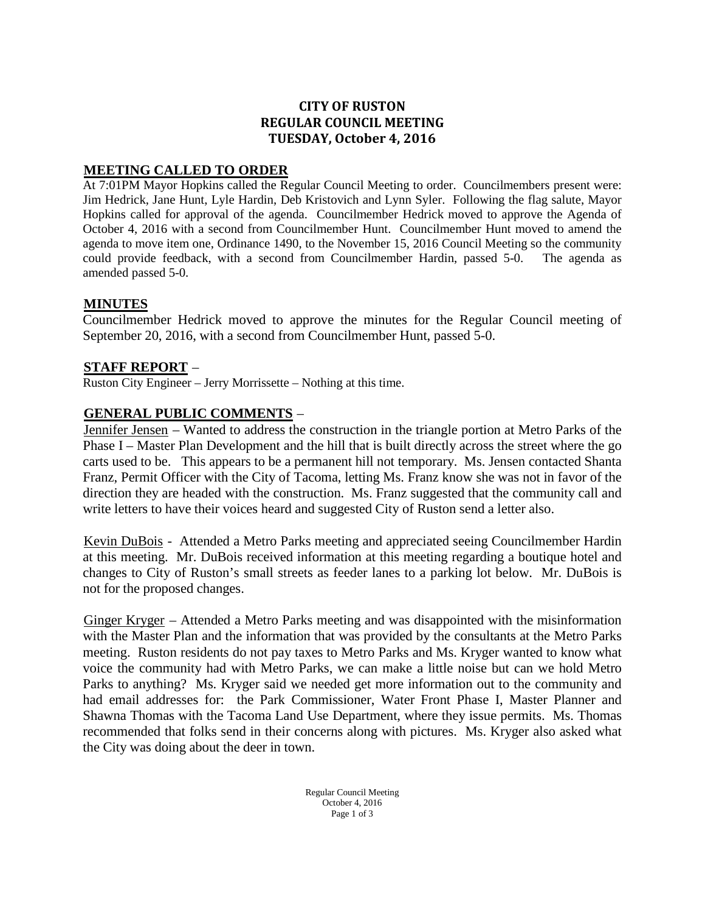## **CITY OF RUSTON REGULAR COUNCIL MEETING TUESDAY, October 4, 2016**

## <sup>U</sup>**MEETING CALLED TO ORDER**

At 7:01PM Mayor Hopkins called the Regular Council Meeting to order. Councilmembers present were: Jim Hedrick, Jane Hunt, Lyle Hardin, Deb Kristovich and Lynn Syler. Following the flag salute, Mayor Hopkins called for approval of the agenda. Councilmember Hedrick moved to approve the Agenda of October 4, 2016 with a second from Councilmember Hunt. Councilmember Hunt moved to amend the agenda to move item one, Ordinance 1490, to the November 15, 2016 Council Meeting so the community could provide feedback, with a second from Councilmember Hardin, passed 5-0. The agenda as amended passed 5-0.

## <sup>U</sup>**MINUTES**

Councilmember Hedrick moved to approve the minutes for the Regular Council meeting of September 20, 2016, with a second from Councilmember Hunt, passed 5-0.

## **STAFF REPORT –**

Ruston City Engineer – Jerry Morrissette – Nothing at this time.

#### **GENERAL PUBLIC COMMENTS –**

Jennifer Jensen – Wanted to address the construction in the triangle portion at Metro Parks of the Phase I – Master Plan Development and the hill that is built directly across the street where the go carts used to be. This appears to be a permanent hill not temporary. Ms. Jensen contacted Shanta Franz, Permit Officer with the City of Tacoma, letting Ms. Franz know she was not in favor of the direction they are headed with the construction. Ms. Franz suggested that the community call and write letters to have their voices heard and suggested City of Ruston send a letter also.

Kevin DuBois - Attended a Metro Parks meeting and appreciated seeing Councilmember Hardin at this meeting. Mr. DuBois received information at this meeting regarding a boutique hotel and changes to City of Ruston's small streets as feeder lanes to a parking lot below. Mr. DuBois is not for the proposed changes.

 $Ginger Kryger - Attended a Metro Parks meeting and was disappeared with the misinformation$ with the Master Plan and the information that was provided by the consultants at the Metro Parks meeting. Ruston residents do not pay taxes to Metro Parks and Ms. Kryger wanted to know what voice the community had with Metro Parks, we can make a little noise but can we hold Metro Parks to anything? Ms. Kryger said we needed get more information out to the community and had email addresses for: the Park Commissioner, Water Front Phase I, Master Planner and Shawna Thomas with the Tacoma Land Use Department, where they issue permits. Ms. Thomas recommended that folks send in their concerns along with pictures. Ms. Kryger also asked what the City was doing about the deer in town.

> Regular Council Meeting October 4, 2016 Page 1 of 3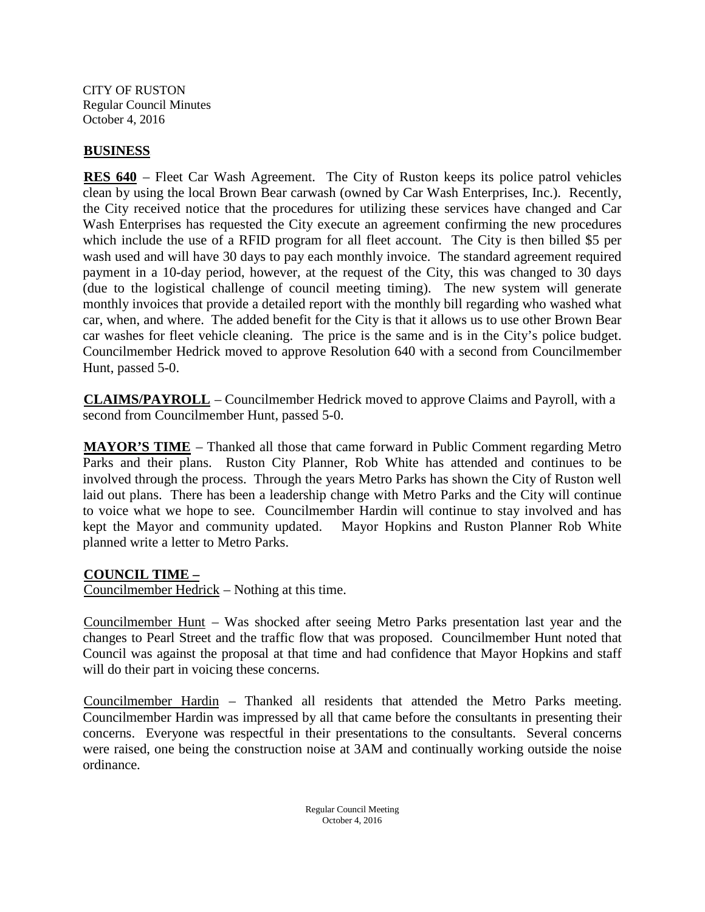CITY OF RUSTON Regular Council Minutes October 4, 2016

## **BUSINESS**

**RES 640** – Fleet Car Wash Agreement. The City of Ruston keeps its police patrol vehicles clean by using the local Brown Bear carwash (owned by Car Wash Enterprises, Inc.). Recently, the City received notice that the procedures for utilizing these services have changed and Car Wash Enterprises has requested the City execute an agreement confirming the new procedures which include the use of a RFID program for all fleet account. The City is then billed \$5 per wash used and will have 30 days to pay each monthly invoice. The standard agreement required payment in a 10-day period, however, at the request of the City, this was changed to 30 days (due to the logistical challenge of council meeting timing). The new system will generate monthly invoices that provide a detailed report with the monthly bill regarding who washed what car, when, and where. The added benefit for the City is that it allows us to use other Brown Bear car washes for fleet vehicle cleaning. The price is the same and is in the City's police budget. Councilmember Hedrick moved to approve Resolution 640 with a second from Councilmember Hunt, passed 5-0.

**CLAIMS/PAYROLL** – Councilmember Hedrick moved to approve Claims and Payroll, with a second from Councilmember Hunt, passed 5-0.

**MAYOR'S TIME** – Thanked all those that came forward in Public Comment regarding Metro Parks and their plans. Ruston City Planner, Rob White has attended and continues to be involved through the process. Through the years Metro Parks has shown the City of Ruston well laid out plans. There has been a leadership change with Metro Parks and the City will continue to voice what we hope to see. Councilmember Hardin will continue to stay involved and has kept the Mayor and community updated. Mayor Hopkins and Ruston Planner Rob White planned write a letter to Metro Parks.

# <sup>U</sup>**COUNCIL TIME –**

Councilmember Hedrick – Nothing at this time.

Councilmember Hunt – Was shocked after seeing Metro Parks presentation last year and the changes to Pearl Street and the traffic flow that was proposed. Councilmember Hunt noted that Council was against the proposal at that time and had confidence that Mayor Hopkins and staff will do their part in voicing these concerns.

Councilmember Hardin – Thanked all residents that attended the Metro Parks meeting. Councilmember Hardin was impressed by all that came before the consultants in presenting their concerns. Everyone was respectful in their presentations to the consultants. Several concerns were raised, one being the construction noise at 3AM and continually working outside the noise ordinance.